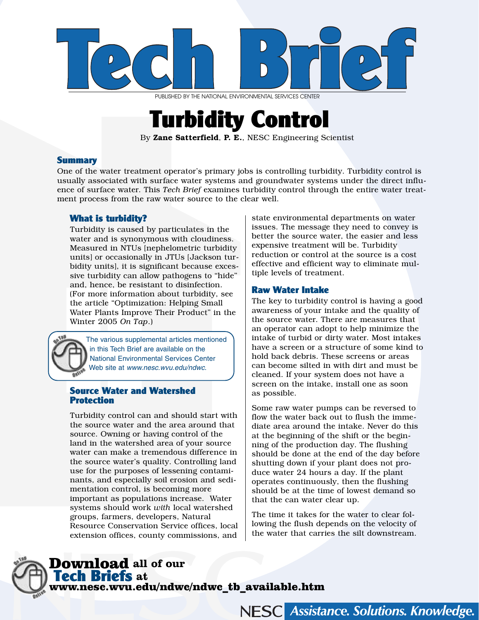

PUBLISHED BY THE NATIONAL ENVIRONMENTAL SERVICES CENTER

# Turbidity Control

By Zane Satterfield, P. E., NESC Engineering Scientist

### Summary

One of the water treatment operator's primary jobs is controlling turbidity. Turbidity control is usually associated with surface water systems and groundwater systems under the direct influence of surface water. This *Tech Brief* examines turbidity control through the entire water treatment process from the raw water source to the clear well.

# What is turbidity?

Turbidity is caused by particulates in the water and is synonymous with cloudiness. Measured in NTUs [nephelometric turbidity units] or occasionally in JTUs [Jackson turbidity units], it is significant because excessive turbidity can allow pathogens to "hide" and, hence, be resistant to disinfection. (For more information about turbidity, see the article "Optimization: Helping Small Water Plants Improve Their Product" in the Winter 2005 *On Tap*.)

The various supplemental articles mentioned in this Tech Brief are available on the National Environmental Services Center Web site at www.nesc.wvu.edu/ndwc.

# Source Water and Watershed **Protection**

Turbidity control can and should start with the source water and the area around that source. Owning or having control of the land in the watershed area of your source water can make a tremendous difference in the source water's quality. Controlling land use for the purposes of lessening contaminants, and especially soil erosion and sedimentation control, is becoming more important as populations increase. Water systems should work *with* local watershed groups, farmers, developers, Natural Resource Conservation Service offices, local extension offices, county commissions, and state environmental departments on water issues. The message they need to convey is better the source water, the easier and less expensive treatment will be. Turbidity reduction or control at the source is a cost effective and efficient way to eliminate multiple levels of treatment.

# Raw Water Intake

The key to turbidity control is having a good awareness of your intake and the quality of the source water. There are measures that an operator can adopt to help minimize the intake of turbid or dirty water. Most intakes have a screen or a structure of some kind to hold back debris. These screens or areas can become silted in with dirt and must be cleaned. If your system does not have a screen on the intake, install one as soon as possible.

Some raw water pumps can be reversed to flow the water back out to flush the immediate area around the intake. Never do this at the beginning of the shift or the beginning of the production day. The flushing should be done at the end of the day before shutting down if your plant does not produce water 24 hours a day. If the plant operates continuously, then the flushing should be at the time of lowest demand so that the can water clear up.

The time it takes for the water to clear following the flush depends on the velocity of the water that carries the silt downstream.

**NESCI** 

**Assistance. Solutions. Knowledge.** 

# Download **all of our**  Tech Briefs **at**  www.nesc.wvu.edu/ndwc/ndwc\_tb\_available.htm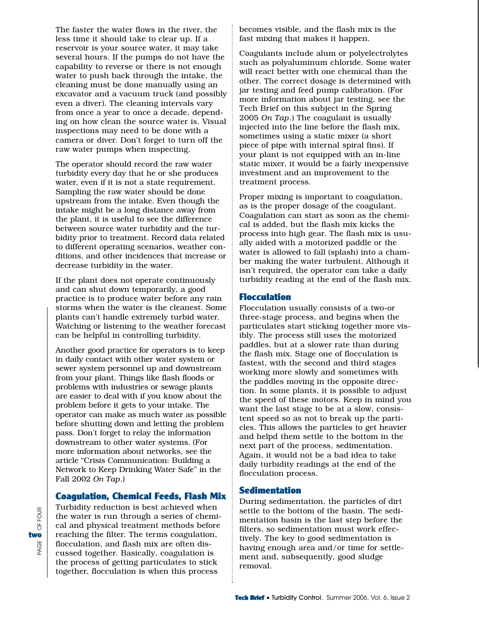The faster the water flows in the river, the less time it should take to clear up. If a reservoir is your source water, it may take several hours. If the pumps do not have the capability to reverse or there is not enough water to push back through the intake, the cleaning must be done manually using an excavator and a vacuum truck (and possibly even a diver). The cleaning intervals vary from once a year to once a decade, depending on how clean the source water is. Visual inspections may need to be done with a camera or diver. Don't forget to turn off the raw water pumps when inspecting.

The operator should record the raw water turbidity every day that he or she produces water, even if it is not a state requirement. Sampling the raw water should be done upstream from the intake. Even though the intake might be a long distance away from the plant, it is useful to see the difference between source water turbidity and the turbidity prior to treatment. Record data related to different operating scenarios, weather conditions, and other incidences that increase or decrease turbidity in the water.

If the plant does not operate continuously and can shut down temporarily, a good practice is to produce water before any rain storms when the water is the cleanest. Some plants can't handle extremely turbid water. Watching or listening to the weather forecast can be helpful in controlling turbidity.

Another good practice for operators is to keep in daily contact with other water system or sewer system personnel up and downstream from your plant. Things like flash floods or problems with industries or sewage plants are easier to deal with if you know about the problem before it gets to your intake. The operator can make as much water as possible before shutting down and letting the problem pass. Don't forget to relay the information downstream to other water systems. (For more information about networks, see the article "Crisis Communication: Building a Network to Keep Drinking Water Safe" in the Fall 2002 *On Tap*.)

#### Coagulation, Chemical Feeds, Flash Mix

Turbidity reduction is best achieved when the water is run through a series of chemical and physical treatment methods before reaching the filter. The terms coagulation, flocculation, and flash mix are often discussed together. Basically, coagulation is the process of getting particulates to stick together, flocculation is when this process

becomes visible, and the flash mix is the fast mixing that makes it happen.

Coagulants include alum or polyelectrolytes such as polyaluminum chloride. Some water will react better with one chemical than the other. The correct dosage is determined with jar testing and feed pump calibration. (For more information about jar testing, see the Tech Brief on this subject in the Spring 2005 *On Tap*.) The coagulant is usually injected into the line before the flash mix, sometimes using a static mixer (a short piece of pipe with internal spiral fins). If your plant is not equipped with an in-line static mixer, it would be a fairly inexpensive investment and an improvement to the treatment process.

Proper mixing is important to coagulation, as is the proper dosage of the coagulant. Coagulation can start as soon as the chemical is added, but the flash mix kicks the process into high gear. The flash mix is usually aided with a motorized paddle or the water is allowed to fall (splash) into a chamber making the water turbulent. Although it isn't required, the operator can take a daily turbidity reading at the end of the flash mix.

## **Flocculation**

Flocculation usually consists of a two-or three-stage process, and begins when the particulates start sticking together more visibly. The process still uses the motorized paddles, but at a slower rate than during the flash mix. Stage one of flocculation is fastest, with the second and third stages working more slowly and sometimes with the paddles moving in the opposite direction. In some plants, it is possible to adjust the speed of these motors. Keep in mind you want the last stage to be at a slow, consistent speed so as not to break up the particles. This allows the particles to get heavier and helpd them settle to the bottom in the next part of the process, sedimentation. Again, it would not be a bad idea to take daily turbidity readings at the end of the flocculation process.

#### **Sedimentation**

During sedimentation, the particles of dirt settle to the bottom of the basin. The sedimentation basin is the last step before the filters, so sedimentation must work effectively. The key to good sedimentation is having enough area and/or time for settlement and, subsequently, good sludge removal.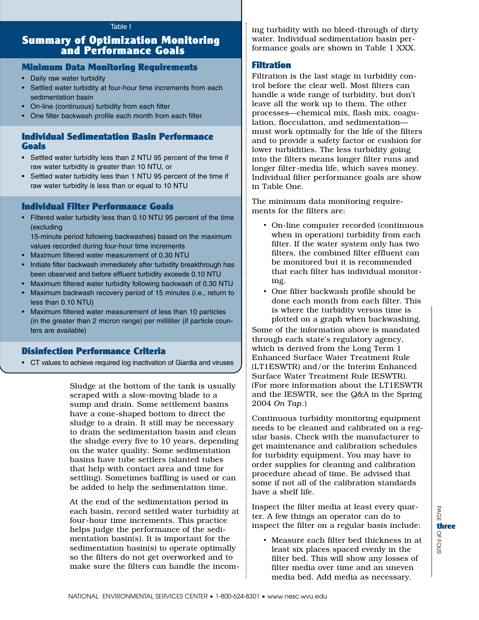# Summary of Optimization Monitoring and Performance Goals

### Minimum Data Monitoring Requirements

- Daily raw water turbidity
- Settled water turbidity at four-hour time increments from each sedimentation basin
- On-line (continuous) turbidity from each filter
- One filter backwash profile each month from each filter

# Individual Sedimentation Basin Performance **Goals**

- Settled water turbidity less than 2 NTU 95 percent of the time if raw water turbidity is greater than 10 NTU, or
- Settled water turbidity less than 1 NTU 95 percent of the time if raw water turbidity is less than or equal to 10 NTU

# Individual Filter Performance Goals

• Filtered water turbidity less than 0.10 NTU 95 percent of the time (excluding

15-minute period following backwashes) based on the maximum values recorded during four-hour time increments

- Maximum filtered water measurement of 0.30 NTU
- Initiate filter backwash immediately after turbidity breakthrough has been observed and before effluent turbidity exceeds 0.10 NTU
- Maximum filtered water turbidity following backwash of 0.30 NTU
- Maximum backwash recovery period of 15 minutes (i.e., return to less than 0.10 NTU)
- Maximum filtered water measurement of less than 10 particles (in the greater than 2 micron range) per milliliter (if particle counters are available)

# Disinfection Performance Criteria

• CT values to achieve required log inactivation of Giardia and viruses

Sludge at the bottom of the tank is usually scraped with a slow-moving blade to a sump and drain. Some settlement basins have a cone-shaped bottom to direct the sludge to a drain. It still may be necessary to drain the sedimentation basin and clean the sludge every five to 10 years, depending on the water quality. Some sedimentation basins have tube settlers (slanted tubes that help with contact area and time for settling). Sometimes baffling is used or can be added to help the sedimentation time.

At the end of the sedimentation period in each basin, record settled water turbidity at four-hour time increments. This practice helps judge the performance of the sedimentation basin(s). It is important for the sedimentation basin(s) to operate optimally so the filters do not get overworked and to make sure the filters can handle the incoming turbidity with no bleed-through of dirty water. Individual sedimentation basin performance goals are shown in Table 1 XXX.

### Filtration

Filtration is the last stage in turbidity control before the clear well. Most filters can handle a wide range of turbidity, but don't leave all the work up to them. The other processes—chemical mix, flash mix, coagulation, flocculation, and sedimentation must work optimally for the life of the filters and to provide a safety factor or cushion for lower turbidities. The less turbidity going into the filters means longer filter runs and longer filter-media life, which saves money. Individual filter performance goals are show in Table One.

The minimum data monitoring requirements for the filters are:

- On-line computer recorded (continuous when in operation) turbidity from each filter. If the water system only has two filters, the combined filter effluent can be monitored but it is recommended that each filter has individual monitoring.
- One filter backwash profile should be done each month from each filter. This is where the turbidity versus time is plotted on a graph when backwashing.

Some of the information above is mandated through each state's regulatory agency, which is derived from the Long Term 1 Enhanced Surface Water Treatment Rule (LT1ESWTR) and/or the Interim Enhanced Surface Water Treatment Rule IESWTR). (For more information about the LT1ESWTR and the IESWTR, see the Q&A in the Spring 2004 *On Tap*.)

Continuous turbidity monitoring equipment needs to be cleaned and calibrated on a regular basis. Check with the manufacturer to get maintenance and calibration schedules for turbidity equipment. You may have to order supplies for cleaning and calibration procedure ahead of time. Be advised that some if not all of the calibration standards have a shelf life.

Inspect the filter media at least every quarter. A few things an operator can do to inspect the filter on a regular basis include:

• Measure each filter bed thickness in at least six places spaced evenly in the filter bed. This will show any losses of filter media over time and an uneven media bed. Add media as necessary.